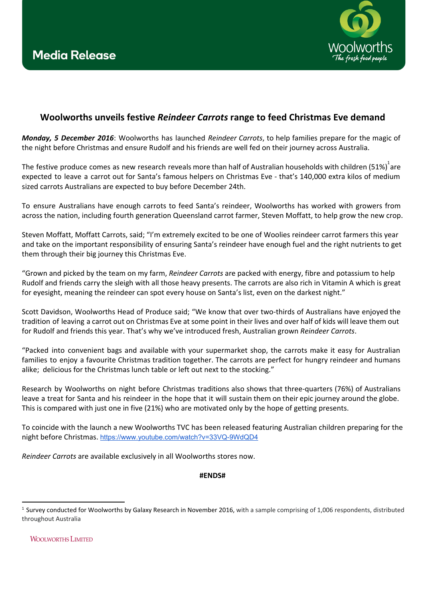

## **Woolworths unveils festive** *Reindeer Carrots*  **range to feed Christmas Eve demand**

*Monday, 5 December 2016*: Woolworths has launched *Reindeer Carrots*, to help families prepare for the magic of the night before Christmas and ensure Rudolf and his friends are well fed on their journey across Australia.

The festive produce comes as new research reveals more than half of Australian households with children (51%)<sup>1</sup>are expected to leave a carrot out for Santa's famous helpers on Christmas Eve - that's 140,000 extra kilos of medium sized carrots Australians are expected to buy before December 24th.

To ensure Australians have enough carrots to feed Santa's reindeer, Woolworths has worked with growers from across the nation, including fourth generation Queensland carrot farmer, Steven Moffatt, to help grow the new crop.

Steven Moffatt, Moffatt Carrots, said; "I'm extremely excited to be one of Woolies reindeer carrot farmers this year and take on the important responsibility of ensuring Santa's reindeer have enough fuel and the right nutrients to get them through their big journey this Christmas Eve.

"Grown and picked by the team on my farm, *Reindeer Carrots* are packed with energy, fibre and potassium to help Rudolf and friends carry the sleigh with all those heavy presents. The carrots are also rich in Vitamin A which is great for eyesight, meaning the reindeer can spot every house on Santa's list, even on the darkest night."

Scott Davidson, Woolworths Head of Produce said; "We know that over two-thirds of Australians have enjoyed the tradition of leaving a carrot out on Christmas Eve at some point in their lives and over half of kids will leave them out for Rudolf and friends this year. That's why we've introduced fresh, Australian grown *Reindeer Carrots*.

"Packed into convenient bags and available with your supermarket shop, the carrots make it easy for Australian families to enjoy a favourite Christmas tradition together. The carrots are perfect for hungry reindeer and humans alike; delicious for the Christmas lunch table or left out next to the stocking."

Research by Woolworths on night before Christmas traditions also shows that three-quarters (76%) of Australians leave a treat for Santa and his reindeer in the hope that it will sustain them on their epic journey around the globe. This is compared with just one in five (21%) who are motivated only by the hope of getting presents.

To coincide with the launch a new Woolworths TVC has been released featuring Australian children preparing for the night before Christmas. <https://www.youtube.com/watch?v=33VQ-9WdQD4>

*Reindeer Carrots* are available exclusively in all Woolworths stores now.

## **#ENDS#**

**WOOLWORTHS LIMITED** 

<sup>&</sup>lt;sup>1</sup> Survey conducted for Woolworths by Galaxy Research in November 2016, with a sample comprising of 1,006 respondents, distributed throughout Australia